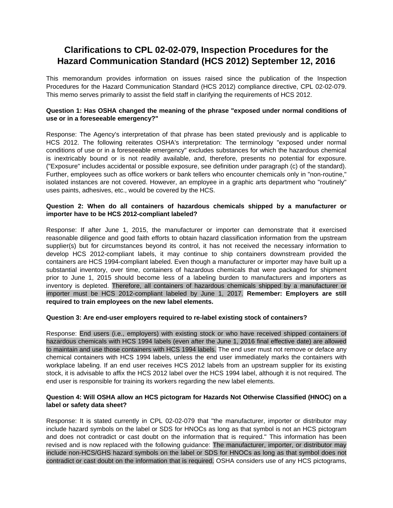# **Clarifications to CPL 02-02-079, Inspection Procedures for the Hazard Communication Standard (HCS 2012) September 12, 2016**

This memorandum provides information on issues raised since the publication of the Inspection Procedures for the Hazard Communication Standard (HCS 2012) compliance directive, CPL 02-02-079. This memo serves primarily to assist the field staff in clarifying the requirements of HCS 2012.

## **Question 1: Has OSHA changed the meaning of the phrase "exposed under normal conditions of use or in a foreseeable emergency?"**

Response: The Agency's interpretation of that phrase has been stated previously and is applicable to HCS 2012. The following reiterates OSHA's interpretation: The terminology "exposed under normal conditions of use or in a foreseeable emergency" excludes substances for which the hazardous chemical is inextricably bound or is not readily available, and, therefore, presents no potential for exposure. ("Exposure" includes accidental or possible exposure, see definition under paragraph (c) of the standard). Further, employees such as office workers or bank tellers who encounter chemicals only in "non-routine," isolated instances are not covered. However, an employee in a graphic arts department who "routinely" uses paints, adhesives, etc., would be covered by the HCS.

# **Question 2: When do all containers of hazardous chemicals shipped by a manufacturer or importer have to be HCS 2012-compliant labeled?**

Response: If after June 1, 2015, the manufacturer or importer can demonstrate that it exercised reasonable diligence and good faith efforts to obtain hazard classification information from the upstream supplier(s) but for circumstances beyond its control, it has not received the necessary information to develop HCS 2012-compliant labels, it may continue to ship containers downstream provided the containers are HCS 1994-compliant labeled. Even though a manufacturer or importer may have built up a substantial inventory, over time, containers of hazardous chemicals that were packaged for shipment prior to June 1, 2015 should become less of a labeling burden to manufacturers and importers as inventory is depleted. Therefore, all containers of hazardous chemicals shipped by a manufacturer or importer must be HCS 2012-compliant labeled by June 1, 2017. **Remember: Employers are still required to train employees on the new label elements.** 

#### **Question 3: Are end-user employers required to re-label existing stock of containers?**

Response: End users (i.e., employers) with existing stock or who have received shipped containers of hazardous chemicals with HCS 1994 labels (even after the June 1, 2016 final effective date) are allowed to maintain and use those containers with HCS 1994 labels. The end user must not remove or deface any chemical containers with HCS 1994 labels, unless the end user immediately marks the containers with workplace labeling. If an end user receives HCS 2012 labels from an upstream supplier for its existing stock, it is advisable to affix the HCS 2012 label over the HCS 1994 label, although it is not required. The end user is responsible for training its workers regarding the new label elements.

# **Question 4: Will OSHA allow an HCS pictogram for Hazards Not Otherwise Classified (HNOC) on a label or safety data sheet?**

Response: It is stated currently in CPL 02-02-079 that "the manufacturer, importer or distributor may include hazard symbols on the label or SDS for HNOCs as long as that symbol is not an HCS pictogram and does not contradict or cast doubt on the information that is required." This information has been revised and is now replaced with the following guidance: The manufacturer, importer, or distributor may include non-HCS/GHS hazard symbols on the label or SDS for HNOCs as long as that symbol does not contradict or cast doubt on the information that is required. OSHA considers use of any HCS pictograms,